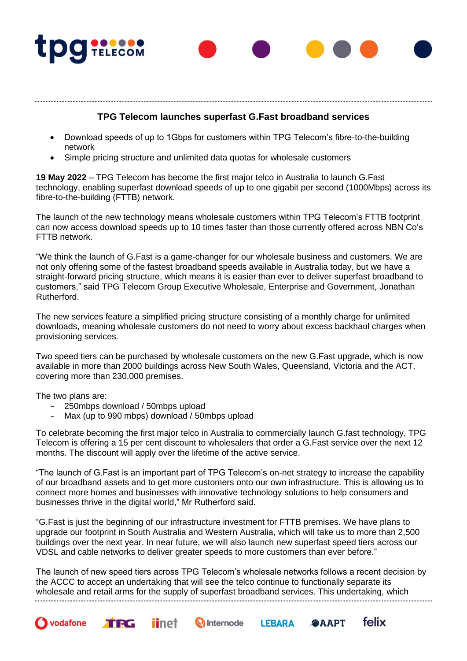

## **TPG Telecom launches superfast G.Fast broadband services**

- Download speeds of up to 1Gbps for customers within TPG Telecom's fibre-to-the-building network
- Simple pricing structure and unlimited data quotas for wholesale customers

**19 May 2022** – TPG Telecom has become the first major telco in Australia to launch G.Fast technology, enabling superfast download speeds of up to one gigabit per second (1000Mbps) across its fibre-to-the-building (FTTB) network.

The launch of the new technology means wholesale customers within TPG Telecom's FTTB footprint can now access download speeds up to 10 times faster than those currently offered across NBN Co's FTTB network.

"We think the launch of G.Fast is a game-changer for our wholesale business and customers. We are not only offering some of the fastest broadband speeds available in Australia today, but we have a straight-forward pricing structure, which means it is easier than ever to deliver superfast broadband to customers," said TPG Telecom Group Executive Wholesale, Enterprise and Government, Jonathan Rutherford.

The new services feature a simplified pricing structure consisting of a monthly charge for unlimited downloads, meaning wholesale customers do not need to worry about excess backhaul charges when provisioning services.

Two speed tiers can be purchased by wholesale customers on the new G.Fast upgrade, which is now available in more than 2000 buildings across New South Wales, Queensland, Victoria and the ACT, covering more than 230,000 premises.

The two plans are:

vodafone

- 250mbps download / 50mbps upload
- Max (up to 990 mbps) download / 50mbps upload

*iinet* 

TRG

To celebrate becoming the first major telco in Australia to commercially launch G.fast technology, TPG Telecom is offering a 15 per cent discount to wholesalers that order a G.Fast service over the next 12 months. The discount will apply over the lifetime of the active service.

"The launch of G.Fast is an important part of TPG Telecom's on-net strategy to increase the capability of our broadband assets and to get more customers onto our own infrastructure. This is allowing us to connect more homes and businesses with innovative technology solutions to help consumers and businesses thrive in the digital world," Mr Rutherford said.

"G.Fast is just the beginning of our infrastructure investment for FTTB premises. We have plans to upgrade our footprint in South Australia and Western Australia, which will take us to more than 2,500 buildings over the next year. In near future, we will also launch new superfast speed tiers across our VDSL and cable networks to deliver greater speeds to more customers than ever before."

The launch of new speed tiers across TPG Telecom's wholesale networks follows a recent decision by the ACCC to accept an undertaking that will see the telco continue to functionally separate its wholesale and retail arms for the supply of superfast broadband services. This undertaking, which 

**Q** Internode

felix

**@AAPT** 

**LEBARA**